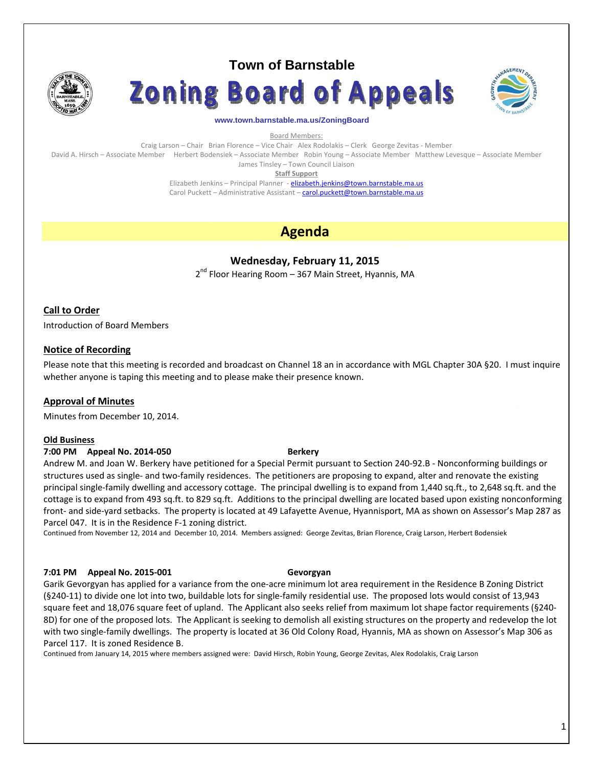

# **Town of Barnstable**





#### **www.town.barnstable.ma.us/ZoningBoard**

Board Members:

Craig Larson – Chair Brian Florence – Vice Chair Alex Rodolakis – Clerk George Zevitas ‐ Member David A. Hirsch – Associate Member Herbert Bodensiek – Associate Member Robin Young – Associate Member Matthew Levesque – Associate Member

James Tinsley – Town Council Liaison

**Staff Support**

Elizabeth Jenkins - Principal Planner - elizabeth.jenkins@town.barnstable.ma.us Carol Puckett – Administrative Assistant – carol.puckett@town.barnstable.ma.us

## **Agenda**

### **Wednesday, February 11, 2015**

2<sup>nd</sup> Floor Hearing Room – 367 Main Street, Hyannis, MA

### **Call to Order**

Introduction of Board Members

#### **Notice of Recording**

Please note that this meeting is recorded and broadcast on Channel 18 an in accordance with MGL Chapter 30A §20. I must inquire whether anyone is taping this meeting and to please make their presence known.

#### **Approval of Minutes**

Minutes from December 10, 2014.

#### **Old Business**

#### **7:00 PM Appeal No. 2014‐050 Berkery**

Andrew M. and Joan W. Berkery have petitioned for a Special Permit pursuant to Section 240‐92.B ‐ Nonconforming buildings or structures used as single‐ and two‐family residences. The petitioners are proposing to expand, alter and renovate the existing principal single‐family dwelling and accessory cottage. The principal dwelling is to expand from 1,440 sq.ft., to 2,648 sq.ft. and the cottage is to expand from 493 sq.ft. to 829 sq.ft. Additions to the principal dwelling are located based upon existing nonconforming front- and side-yard setbacks. The property is located at 49 Lafayette Avenue, Hyannisport, MA as shown on Assessor's Map 287 as Parcel 047. It is in the Residence F‐1 zoning district.

Continued from November 12, 2014 and December 10, 2014. Members assigned: George Zevitas, Brian Florence, Craig Larson, Herbert Bodensiek

#### **7:01 PM Appeal No. 2015‐001 Gevorgyan**

Garik Gevorgyan has applied for a variance from the one‐acre minimum lot area requirement in the Residence B Zoning District (§240‐11) to divide one lot into two, buildable lots for single‐family residential use. The proposed lots would consist of 13,943 square feet and 18,076 square feet of upland. The Applicant also seeks relief from maximum lot shape factor requirements (§240‐ 8D) for one of the proposed lots. The Applicant is seeking to demolish all existing structures on the property and redevelop the lot with two single‐family dwellings. The property is located at 36 Old Colony Road, Hyannis, MA as shown on Assessor's Map 306 as Parcel 117. It is zoned Residence B.

Continued from January 14, 2015 where members assigned were: David Hirsch, Robin Young, George Zevitas, Alex Rodolakis, Craig Larson

#### 1